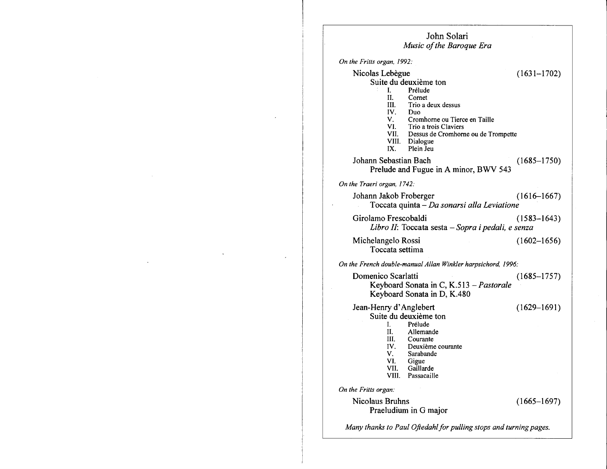| John Solari<br>Music of the Baroque Era                                                                                                                                                                                                                                      |                 |
|------------------------------------------------------------------------------------------------------------------------------------------------------------------------------------------------------------------------------------------------------------------------------|-----------------|
| On the Fritts organ, 1992:                                                                                                                                                                                                                                                   |                 |
| Nicolas Lebègue<br>Suite du deuxième ton<br>L<br>Prélude<br>П.<br>Cornet<br>Trio a deux dessus<br>HI.<br>IV.<br>Duo<br>V.<br>Cromhorne ou Tierce en Taille<br>VI.<br>Trio a trois Claviers<br>VII. Dessus de Cromhorne ou de Trompette<br>VIII. Dialogue<br>Plein Jeu<br>IX. | $(1631 - 1702)$ |
| Johann Sebastian Bach<br>Prelude and Fugue in A minor, BWV 543                                                                                                                                                                                                               | $(1685 - 1750)$ |
| On the Traeri organ, 1742:                                                                                                                                                                                                                                                   |                 |
| Johann Jakob Froberger<br>Toccata quinta – Da sonarsi alla Leviatione                                                                                                                                                                                                        | $(1616 - 1667)$ |
| Girolamo Frescobaldi<br>Libro II: Toccata sesta - Sopra i pedali, e senza                                                                                                                                                                                                    | $(1583 - 1643)$ |
| Michelangelo Rossi<br>Toccata settima                                                                                                                                                                                                                                        | $(1602 - 1656)$ |
| On the French double-manual Allan Winkler harpsichord, 1996:                                                                                                                                                                                                                 |                 |
| Domenico Scarlatti<br>Keyboard Sonata in C, K.513 - Pastorale<br>Keyboard Sonata in D, K.480                                                                                                                                                                                 | $(1685 - 1757)$ |
| Jean-Henry d'Anglebert<br>Suite du deuxième ton<br>L.<br>Prélude<br>II.<br>Allemande<br>III.<br>Courante<br>IV.<br>Deuxième courante<br>V.<br>Sarabande<br>VI.<br>Gigue<br>VII.<br>Gaillarde<br>Passacaille<br>VIII.                                                         | $(1629 - 1691)$ |
| On the Fritts organ:                                                                                                                                                                                                                                                         |                 |
| Nicolaus Bruhns<br>Praeludium in G major                                                                                                                                                                                                                                     | $(1665 - 1697)$ |
| Many thanks to Paul Oftedahl for pulling stops and turning pages.                                                                                                                                                                                                            |                 |